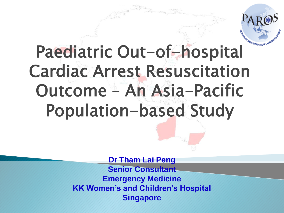

# Paediatric Out-of-hospital Cardiac Arrest Resuscitation Outcome – An Asia-Pacific Population-based Study

**Dr Tham Lai Peng Senior Consultant Emergency Medicine KK Women's and Children's Hospital Singapore**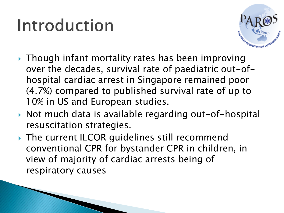# Introduction



- ▶ Though infant mortality rates has been improving over the decades, survival rate of paediatric out-ofhospital cardiac arrest in Singapore remained poor (4.7%) compared to published survival rate of up to 10% in US and European studies.
- ▶ Not much data is available regarding out-of-hospital resuscitation strategies.
- ▶ The current ILCOR quidelines still recommend conventional CPR for bystander CPR in children, in view of majority of cardiac arrests being of respiratory causes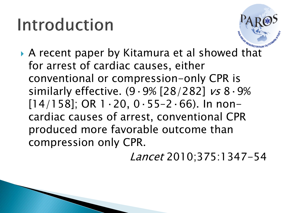### Introduction



 A recent paper by Kitamura et al showed that for arrest of cardiac causes, either conventional or compression-only CPR is similarly effective. (9·9% [28/282] vs 8·9%  $[14/158]$ ; OR  $1.20$ , 0 $.55-2.66$ ). In noncardiac causes of arrest, conventional CPR produced more favorable outcome than compression only CPR.

Lancet 2010;375:1347-54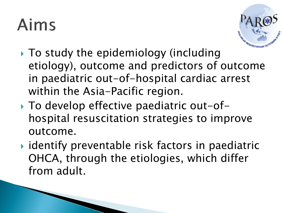## Aims



- $\triangleright$  To study the epidemiology (including etiology), outcome and predictors of outcome in paediatric out-of-hospital cardiac arrest within the Asia-Pacific region.
- ▶ To develop effective paediatric out-ofhospital resuscitation strategies to improve outcome.
- ▶ identify preventable risk factors in paediatric OHCA, through the etiologies, which differ from adult.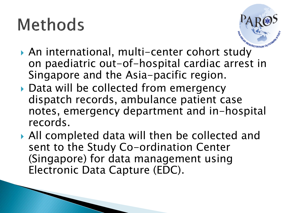

- An international, multi-center cohort study on paediatric out-of-hospital cardiac arrest in Singapore and the Asia-pacific region.
- ▶ Data will be collected from emergency dispatch records, ambulance patient case notes, emergency department and in-hospital records.
- All completed data will then be collected and sent to the Study Co-ordination Center (Singapore) for data management using Electronic Data Capture (EDC).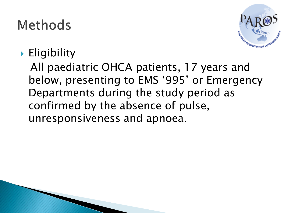

#### **Eligibility**

All paediatric OHCA patients, 17 years and below, presenting to EMS '995' or Emergency Departments during the study period as confirmed by the absence of pulse, unresponsiveness and apnoea.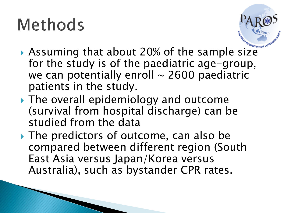

- Assuming that about 20% of the sample size for the study is of the paediatric age-group, we can potentially enroll  $\sim$  2600 paediatric patients in the study.
- ▶ The overall epidemiology and outcome (survival from hospital discharge) can be studied from the data
- The predictors of outcome, can also be compared between different region (South East Asia versus Japan/Korea versus Australia), such as bystander CPR rates.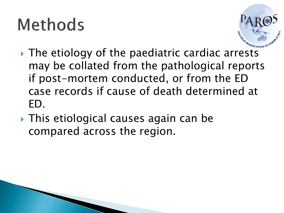

- **► The etiology of the paediatric cardiac arrests** may be collated from the pathological reports if post-mortem conducted, or from the ED case records if cause of death determined at ED.
- This etiological causes again can be compared across the region.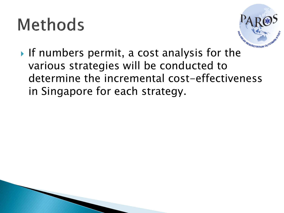

If numbers permit, a cost analysis for the various strategies will be conducted to determine the incremental cost-effectiveness in Singapore for each strategy.